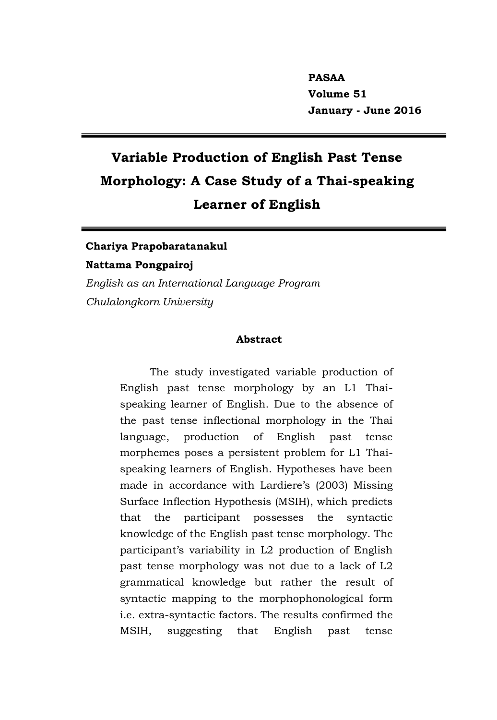**PASAA Volume 51 January - June 2016**

# **Variable Production of English Past Tense Morphology: A Case Study of a Thai-speaking Learner of English**

# **Chariya Prapobaratanakul Nattama Pongpairoj**

*English as an International Language Program Chulalongkorn University*

#### **Abstract**

The study investigated variable production of English past tense morphology by an L1 Thaispeaking learner of English. Due to the absence of the past tense inflectional morphology in the Thai language, production of English past tense morphemes poses a persistent problem for L1 Thaispeaking learners of English. Hypotheses have been made in accordance with Lardiere's (2003) Missing Surface Inflection Hypothesis (MSIH), which predicts that the participant possesses the syntactic knowledge of the English past tense morphology. The participant's variability in L2 production of English past tense morphology was not due to a lack of L2 grammatical knowledge but rather the result of syntactic mapping to the morphophonological form i.e. extra-syntactic factors. The results confirmed the MSIH, suggesting that English past tense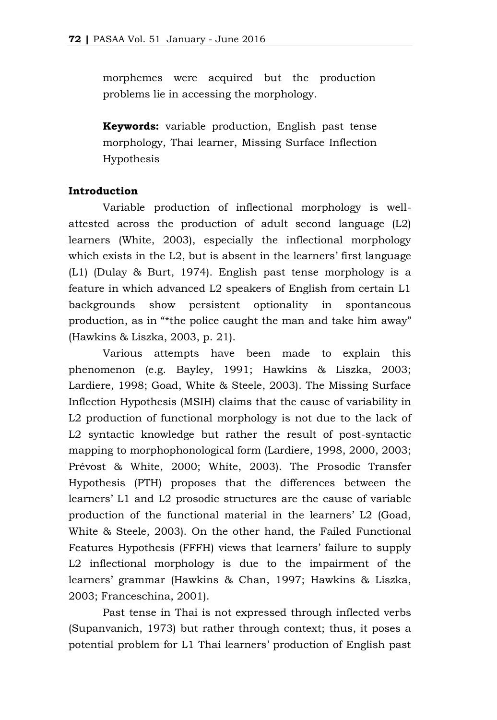morphemes were acquired but the production problems lie in accessing the morphology.

**Keywords:** variable production, English past tense morphology, Thai learner, Missing Surface Inflection Hypothesis

#### **Introduction**

Variable production of inflectional morphology is wellattested across the production of adult second language (L2) learners (White, 2003), especially the inflectional morphology which exists in the L2, but is absent in the learners' first language (L1) (Dulay & Burt, 1974). English past tense morphology is a feature in which advanced L2 speakers of English from certain L1 backgrounds show persistent optionality in spontaneous production, as in "\*the police caught the man and take him away" (Hawkins & Liszka, 2003, p. 21).

Various attempts have been made to explain this phenomenon (e.g. Bayley, 1991; Hawkins & Liszka, 2003; Lardiere, 1998; Goad, White & Steele, 2003). The Missing Surface Inflection Hypothesis (MSIH) claims that the cause of variability in L2 production of functional morphology is not due to the lack of L2 syntactic knowledge but rather the result of post-syntactic mapping to morphophonological form (Lardiere, 1998, 2000, 2003; Prévost & White, 2000; White, 2003). The Prosodic Transfer Hypothesis (PTH) proposes that the differences between the learners' L1 and L2 prosodic structures are the cause of variable production of the functional material in the learners' L2 (Goad, White & Steele, 2003). On the other hand, the Failed Functional Features Hypothesis (FFFH) views that learners' failure to supply L2 inflectional morphology is due to the impairment of the learners' grammar (Hawkins & Chan, 1997; Hawkins & Liszka, 2003; Franceschina, 2001).

Past tense in Thai is not expressed through inflected verbs (Supanvanich, 1973) but rather through context; thus, it poses a potential problem for L1 Thai learners' production of English past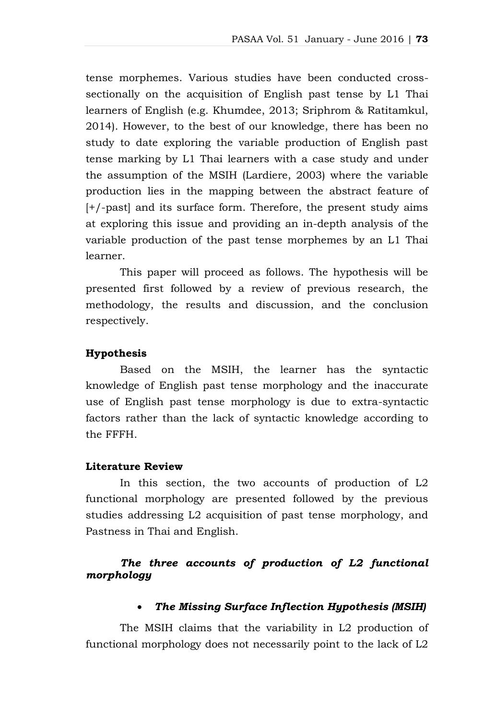tense morphemes. Various studies have been conducted crosssectionally on the acquisition of English past tense by L1 Thai learners of English (e.g. Khumdee, 2013; Sriphrom & Ratitamkul, 2014). However, to the best of our knowledge, there has been no study to date exploring the variable production of English past tense marking by L1 Thai learners with a case study and under the assumption of the MSIH (Lardiere, 2003) where the variable production lies in the mapping between the abstract feature of [+/-past] and its surface form. Therefore, the present study aims at exploring this issue and providing an in-depth analysis of the variable production of the past tense morphemes by an L1 Thai learner.

This paper will proceed as follows. The hypothesis will be presented first followed by a review of previous research, the methodology, the results and discussion, and the conclusion respectively.

#### **Hypothesis**

Based on the MSIH, the learner has the syntactic knowledge of English past tense morphology and the inaccurate use of English past tense morphology is due to extra-syntactic factors rather than the lack of syntactic knowledge according to the FFFH.

#### **Literature Review**

In this section, the two accounts of production of L2 functional morphology are presented followed by the previous studies addressing L2 acquisition of past tense morphology, and Pastness in Thai and English.

## *The three accounts of production of L2 functional morphology*

#### *The Missing Surface Inflection Hypothesis (MSIH)*

The MSIH claims that the variability in L2 production of functional morphology does not necessarily point to the lack of L2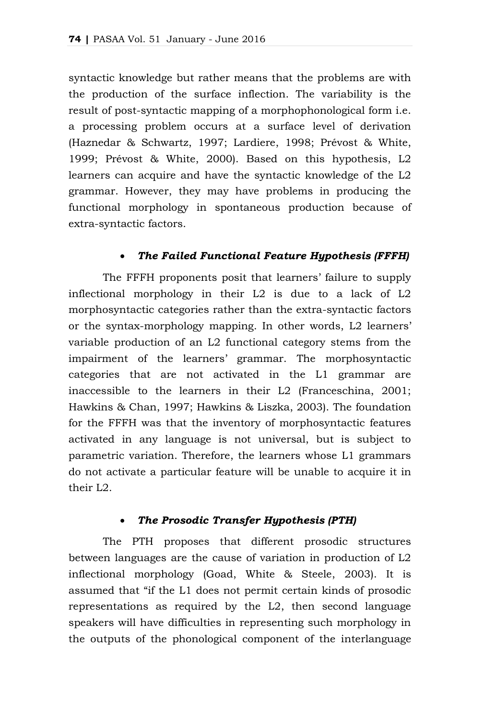syntactic knowledge but rather means that the problems are with the production of the surface inflection. The variability is the result of post-syntactic mapping of a morphophonological form i.e. a processing problem occurs at a surface level of derivation (Haznedar & Schwartz, 1997; Lardiere, 1998; Prévost & White, 1999; Prévost & White, 2000). Based on this hypothesis, L2 learners can acquire and have the syntactic knowledge of the L2 grammar. However, they may have problems in producing the functional morphology in spontaneous production because of extra-syntactic factors.

## *The Failed Functional Feature Hypothesis (FFFH)*

The FFFH proponents posit that learners' failure to supply inflectional morphology in their L2 is due to a lack of L2 morphosyntactic categories rather than the extra-syntactic factors or the syntax-morphology mapping. In other words, L2 learners' variable production of an L2 functional category stems from the impairment of the learners' grammar. The morphosyntactic categories that are not activated in the L1 grammar are inaccessible to the learners in their L2 (Franceschina, 2001; Hawkins & Chan, 1997; Hawkins & Liszka, 2003). The foundation for the FFFH was that the inventory of morphosyntactic features activated in any language is not universal, but is subject to parametric variation. Therefore, the learners whose L1 grammars do not activate a particular feature will be unable to acquire it in their L2.

#### *The Prosodic Transfer Hypothesis (PTH)*

The PTH proposes that different prosodic structures between languages are the cause of variation in production of L2 inflectional morphology (Goad, White & Steele, 2003). It is assumed that "if the L1 does not permit certain kinds of prosodic representations as required by the L2, then second language speakers will have difficulties in representing such morphology in the outputs of the phonological component of the interlanguage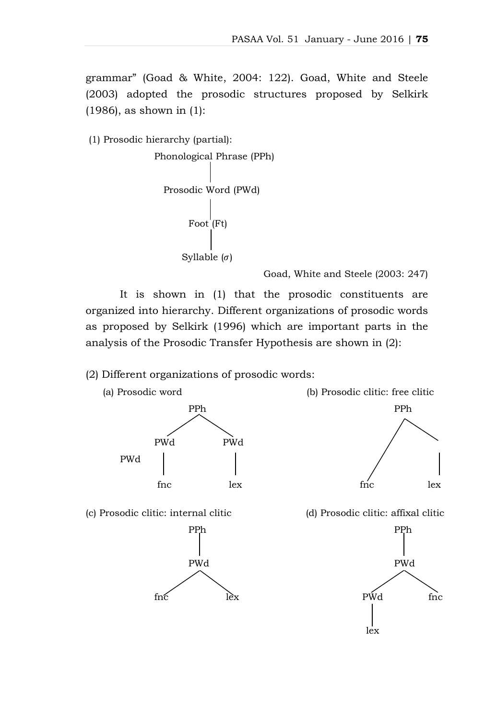grammar" (Goad & White, 2004: 122). Goad, White and Steele (2003) adopted the prosodic structures proposed by Selkirk (1986), as shown in (1):

(1) Prosodic hierarchy (partial):

```
Phonological Phrase (PPh)
Prosodic Word (PWd)
     Foot (Ft)
   Syllable (\sigma)
```
Goad, White and Steele (2003: 247)

It is shown in (1) that the prosodic constituents are organized into hierarchy. Different organizations of prosodic words as proposed by Selkirk (1996) which are important parts in the analysis of the Prosodic Transfer Hypothesis are shown in (2):

(2) Different organizations of prosodic words:

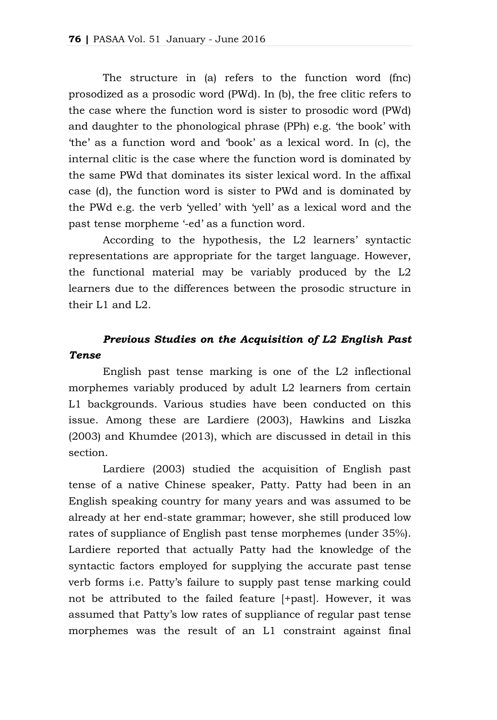The structure in (a) refers to the function word (fnc) prosodized as a prosodic word (PWd). In (b), the free clitic refers to the case where the function word is sister to prosodic word (PWd) and daughter to the phonological phrase (PPh) e.g. 'the book' with 'the' as a function word and 'book' as a lexical word. In (c), the internal clitic is the case where the function word is dominated by the same PWd that dominates its sister lexical word. In the affixal case (d), the function word is sister to PWd and is dominated by the PWd e.g. the verb 'yelled' with 'yell' as a lexical word and the past tense morpheme '-ed' as a function word.

According to the hypothesis, the L2 learners' syntactic representations are appropriate for the target language. However, the functional material may be variably produced by the L2 learners due to the differences between the prosodic structure in their L1 and L2.

# *Previous Studies on the Acquisition of L2 English Past Tense*

English past tense marking is one of the L2 inflectional morphemes variably produced by adult L2 learners from certain L1 backgrounds. Various studies have been conducted on this issue. Among these are Lardiere (2003), Hawkins and Liszka (2003) and Khumdee (2013), which are discussed in detail in this section.

Lardiere (2003) studied the acquisition of English past tense of a native Chinese speaker, Patty. Patty had been in an English speaking country for many years and was assumed to be already at her end-state grammar; however, she still produced low rates of suppliance of English past tense morphemes (under 35%). Lardiere reported that actually Patty had the knowledge of the syntactic factors employed for supplying the accurate past tense verb forms i.e. Patty's failure to supply past tense marking could not be attributed to the failed feature [+past]. However, it was assumed that Patty's low rates of suppliance of regular past tense morphemes was the result of an L1 constraint against final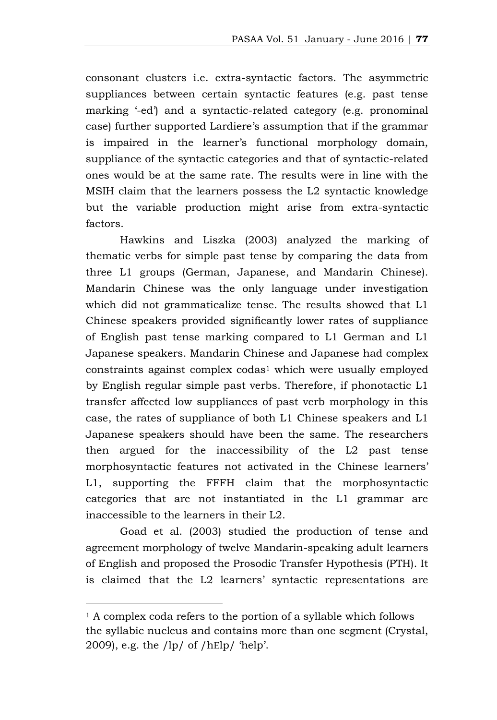consonant clusters i.e. extra-syntactic factors. The asymmetric suppliances between certain syntactic features (e.g. past tense marking '-ed') and a syntactic-related category (e.g. pronominal case) further supported Lardiere's assumption that if the grammar is impaired in the learner's functional morphology domain, suppliance of the syntactic categories and that of syntactic-related ones would be at the same rate. The results were in line with the MSIH claim that the learners possess the L2 syntactic knowledge but the variable production might arise from extra-syntactic factors.

Hawkins and Liszka (2003) analyzed the marking of thematic verbs for simple past tense by comparing the data from three L1 groups (German, Japanese, and Mandarin Chinese). Mandarin Chinese was the only language under investigation which did not grammaticalize tense. The results showed that L1 Chinese speakers provided significantly lower rates of suppliance of English past tense marking compared to L1 German and L1 Japanese speakers. Mandarin Chinese and Japanese had complex constraints against complex codas<sup>1</sup> which were usually employed by English regular simple past verbs. Therefore, if phonotactic L1 transfer affected low suppliances of past verb morphology in this case, the rates of suppliance of both L1 Chinese speakers and L1 Japanese speakers should have been the same. The researchers then argued for the inaccessibility of the L2 past tense morphosyntactic features not activated in the Chinese learners' L1, supporting the FFFH claim that the morphosyntactic categories that are not instantiated in the L1 grammar are inaccessible to the learners in their L2.

Goad et al. (2003) studied the production of tense and agreement morphology of twelve Mandarin-speaking adult learners of English and proposed the Prosodic Transfer Hypothesis (PTH). It is claimed that the L2 learners' syntactic representations are

 $\overline{a}$ 

<sup>1</sup> A complex coda refers to the portion of a syllable which follows the syllabic nucleus and contains more than one segment (Crystal, 2009), e.g. the  $\frac{1}{p}$  of  $\frac{1}{h}$  help'.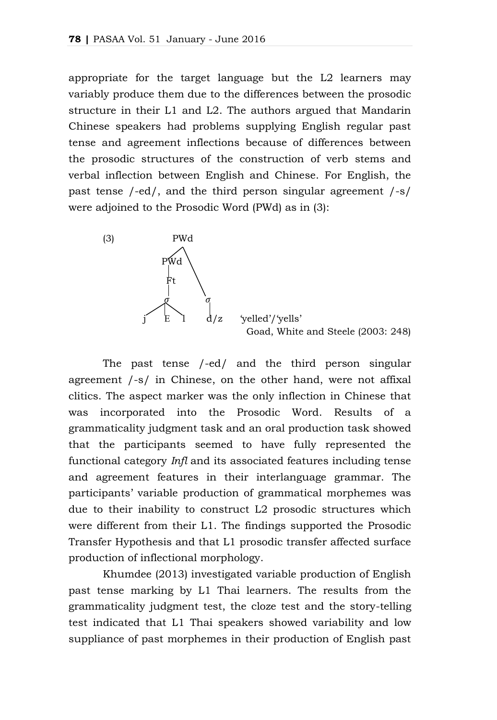appropriate for the target language but the L2 learners may variably produce them due to the differences between the prosodic structure in their L1 and L2. The authors argued that Mandarin Chinese speakers had problems supplying English regular past tense and agreement inflections because of differences between the prosodic structures of the construction of verb stems and verbal inflection between English and Chinese. For English, the past tense /-ed/, and the third person singular agreement /-s/ were adjoined to the Prosodic Word (PWd) as in (3):



'velled'/'vells Goad, White and Steele (2003: 248)

The past tense /-ed/ and the third person singular agreement /-s/ in Chinese, on the other hand, were not affixal clitics. The aspect marker was the only inflection in Chinese that was incorporated into the Prosodic Word. Results of a grammaticality judgment task and an oral production task showed that the participants seemed to have fully represented the functional category *Infl* and its associated features including tense and agreement features in their interlanguage grammar. The participants' variable production of grammatical morphemes was due to their inability to construct L2 prosodic structures which were different from their L1. The findings supported the Prosodic Transfer Hypothesis and that L1 prosodic transfer affected surface production of inflectional morphology.

Khumdee (2013) investigated variable production of English past tense marking by L1 Thai learners. The results from the grammaticality judgment test, the cloze test and the story-telling test indicated that L1 Thai speakers showed variability and low suppliance of past morphemes in their production of English past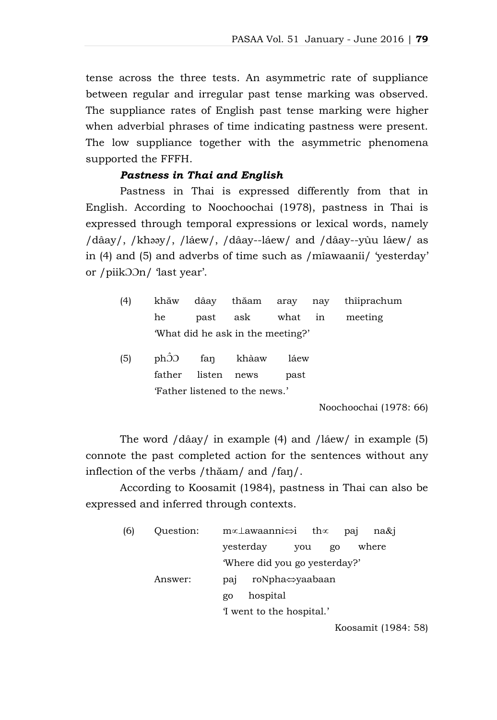tense across the three tests. An asymmetric rate of suppliance between regular and irregular past tense marking was observed. The suppliance rates of English past tense marking were higher when adverbial phrases of time indicating pastness were present. The low suppliance together with the asymmetric phenomena supported the FFFH.

## *Pastness in Thai and English*

Pastness in Thai is expressed differently from that in English. According to Noochoochai (1978), pastness in Thai is expressed through temporal expressions or lexical words, namely /dâay/, /khəəy/, /láew/, /dâay--láew/ and /dâay--yùu láew/ as in (4) and (5) and adverbs of time such as /mîawaaníi/ 'yesterday' or /piikƆƆn/ 'last year'.

| (4) |                                   |  |  |  |  | khăw dâay thăam aray nay thîiprachum |  |  |
|-----|-----------------------------------|--|--|--|--|--------------------------------------|--|--|
|     |                                   |  |  |  |  | he past ask what in meeting          |  |  |
|     | 'What did he ask in the meeting?' |  |  |  |  |                                      |  |  |

(5) phƆ̂Ɔ faŋ khàaw láew father listen news past 'Father listened to the news.'

Noochoochai (1978: 66)

The word /dâay/ in example (4) and /láew/ in example (5) connote the past completed action for the sentences without any inflection of the verbs /thăam/ and /faŋ/.

According to Koosamit (1984), pastness in Thai can also be expressed and inferred through contexts.

| (6) | Ouestion: | m∝⊥awaanni⇔i th∝<br>na&i<br>pai        |
|-----|-----------|----------------------------------------|
|     |           | yesterday<br>where<br>you<br>go        |
|     |           | 'Where did you go yesterday?'          |
|     | Answer:   | roNpha⇔yaabaan<br>pa <sub>1</sub>      |
|     |           | hospital<br>go                         |
|     |           | I went to the hospital.'               |
|     |           | $V_{\text{e}}$ and $\mu$ is 1100 $\mu$ |

Koosamit (1984: 58)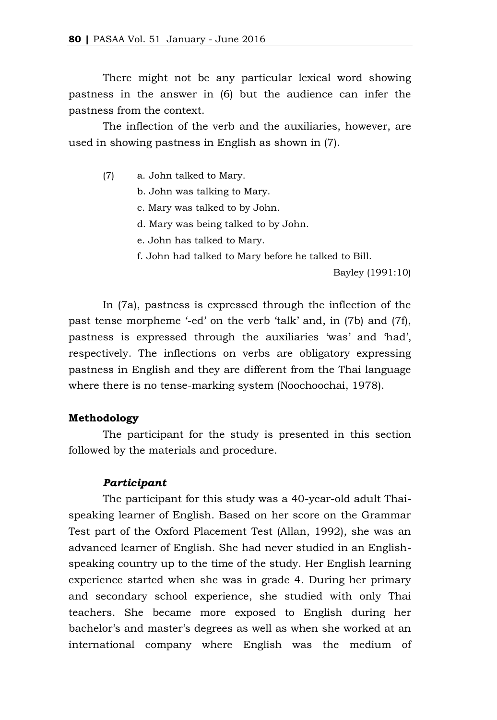There might not be any particular lexical word showing pastness in the answer in (6) but the audience can infer the pastness from the context.

The inflection of the verb and the auxiliaries, however, are used in showing pastness in English as shown in (7).

(7) a. John talked to Mary.

b. John was talking to Mary.

c. Mary was talked to by John.

d. Mary was being talked to by John.

e. John has talked to Mary.

f. John had talked to Mary before he talked to Bill.

Bayley (1991:10)

In (7a), pastness is expressed through the inflection of the past tense morpheme '-ed' on the verb 'talk' and, in (7b) and (7f), pastness is expressed through the auxiliaries 'was' and 'had', respectively. The inflections on verbs are obligatory expressing pastness in English and they are different from the Thai language where there is no tense-marking system (Noochoochai, 1978).

#### **Methodology**

The participant for the study is presented in this section followed by the materials and procedure.

#### *Participant*

The participant for this study was a 40-year-old adult Thaispeaking learner of English. Based on her score on the Grammar Test part of the Oxford Placement Test (Allan, 1992), she was an advanced learner of English. She had never studied in an Englishspeaking country up to the time of the study. Her English learning experience started when she was in grade 4. During her primary and secondary school experience, she studied with only Thai teachers. She became more exposed to English during her bachelor's and master's degrees as well as when she worked at an international company where English was the medium of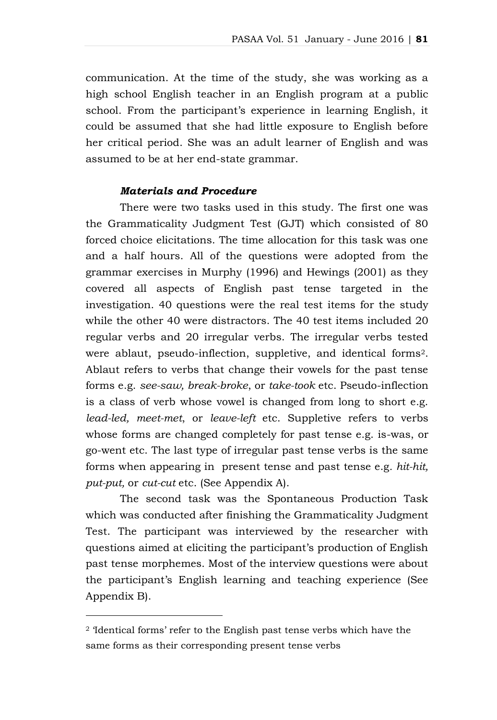communication. At the time of the study, she was working as a high school English teacher in an English program at a public school. From the participant's experience in learning English, it could be assumed that she had little exposure to English before her critical period. She was an adult learner of English and was assumed to be at her end-state grammar.

#### *Materials and Procedure*

There were two tasks used in this study. The first one was the Grammaticality Judgment Test (GJT) which consisted of 80 forced choice elicitations. The time allocation for this task was one and a half hours. All of the questions were adopted from the grammar exercises in Murphy (1996) and Hewings (2001) as they covered all aspects of English past tense targeted in the investigation. 40 questions were the real test items for the study while the other 40 were distractors. The 40 test items included 20 regular verbs and 20 irregular verbs. The irregular verbs tested were ablaut, pseudo-inflection, suppletive, and identical forms2. Ablaut refers to verbs that change their vowels for the past tense forms e.g. *see-saw, break-broke*, or *take-took* etc. Pseudo-inflection is a class of verb whose vowel is changed from long to short e.g. *lead-led, meet-met*, or *leave-left* etc. Suppletive refers to verbs whose forms are changed completely for past tense e.g. is-was, or go-went etc. The last type of irregular past tense verbs is the same forms when appearing in present tense and past tense e.g*. hit-hit, put-put,* or *cut-cut* etc. (See Appendix A).

The second task was the Spontaneous Production Task which was conducted after finishing the Grammaticality Judgment Test. The participant was interviewed by the researcher with questions aimed at eliciting the participant's production of English past tense morphemes. Most of the interview questions were about the participant's English learning and teaching experience (See Appendix B).

 $\overline{a}$ 

<sup>2</sup> 'Identical forms' refer to the English past tense verbs which have the same forms as their corresponding present tense verbs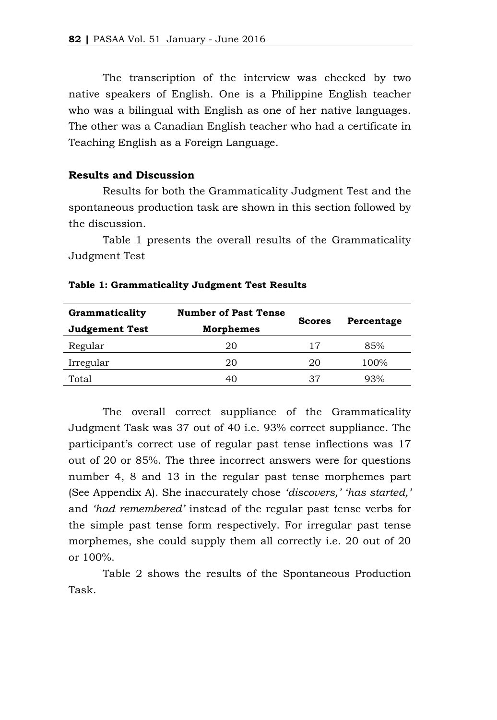The transcription of the interview was checked by two native speakers of English. One is a Philippine English teacher who was a bilingual with English as one of her native languages. The other was a Canadian English teacher who had a certificate in Teaching English as a Foreign Language.

## **Results and Discussion**

Results for both the Grammaticality Judgment Test and the spontaneous production task are shown in this section followed by the discussion.

Table 1 presents the overall results of the Grammaticality Judgment Test

| Grammaticality        | <b>Number of Past Tense</b> | <b>Scores</b> | Percentage |  |  |
|-----------------------|-----------------------------|---------------|------------|--|--|
| <b>Judgement Test</b> | <b>Morphemes</b>            |               |            |  |  |
| Regular               | 20                          | 17            | 85%        |  |  |
| Irregular             | 20                          | 20            | 100%       |  |  |
| Total                 | 40                          | 37            | 93%        |  |  |

**Table 1: Grammaticality Judgment Test Results**

The overall correct suppliance of the Grammaticality Judgment Task was 37 out of 40 i.e. 93% correct suppliance. The participant's correct use of regular past tense inflections was 17 out of 20 or 85%. The three incorrect answers were for questions number 4, 8 and 13 in the regular past tense morphemes part (See Appendix A). She inaccurately chose *'discovers,' 'has started,'*  and *'had remembered'* instead of the regular past tense verbs for the simple past tense form respectively. For irregular past tense morphemes, she could supply them all correctly i.e. 20 out of 20 or 100%.

Table 2 shows the results of the Spontaneous Production Task.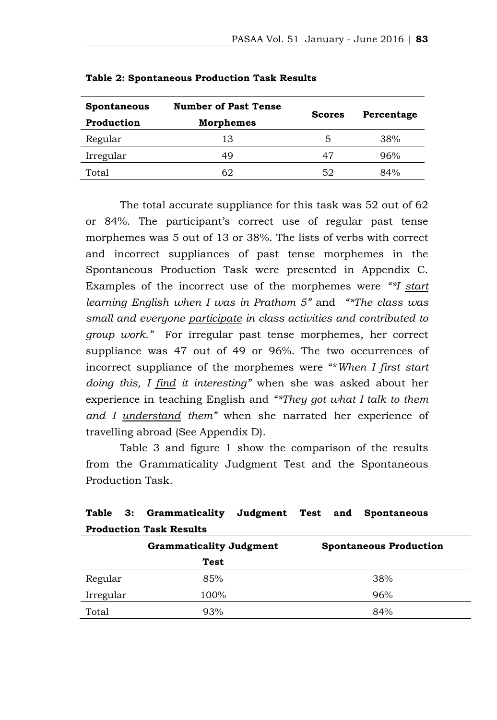| <b>Spontaneous</b> | <b>Number of Past Tense</b> |               |            |
|--------------------|-----------------------------|---------------|------------|
| Production         | <b>Morphemes</b>            | <b>Scores</b> | Percentage |
| Regular            | 13                          | 5             | 38%        |
| Irregular          | 49                          | 47            | 96%        |
| Total              | 62                          | 52            | 84%        |

**Table 2: Spontaneous Production Task Results**

The total accurate suppliance for this task was 52 out of 62 or 84%. The participant's correct use of regular past tense morphemes was 5 out of 13 or 38%. The lists of verbs with correct and incorrect suppliances of past tense morphemes in the Spontaneous Production Task were presented in Appendix C. Examples of the incorrect use of the morphemes were *"\*I start learning English when I was in Prathom 5"* and *"\*The class was small and everyone participate in class activities and contributed to group work."* For irregular past tense morphemes, her correct suppliance was 47 out of 49 or 96%. The two occurrences of incorrect suppliance of the morphemes were "\**When I first start doing this, I find it interesting"* when she was asked about her experience in teaching English and *"\*They got what I talk to them and I understand them"* when she narrated her experience of travelling abroad (See Appendix D).

Table 3 and figure 1 show the comparison of the results from the Grammaticality Judgment Test and the Spontaneous Production Task.

| Production Task Results |                                |                               |  |  |  |  |  |
|-------------------------|--------------------------------|-------------------------------|--|--|--|--|--|
|                         | <b>Grammaticality Judgment</b> | <b>Spontaneous Production</b> |  |  |  |  |  |
|                         | Test                           |                               |  |  |  |  |  |
| Regular                 | 85%                            | 38%                           |  |  |  |  |  |
| Irregular               | 100%                           | 96%                           |  |  |  |  |  |
| Total                   | 93%                            | 84%                           |  |  |  |  |  |

## **Table 3: Grammaticality Judgment Test and Spontaneous Production Task Results**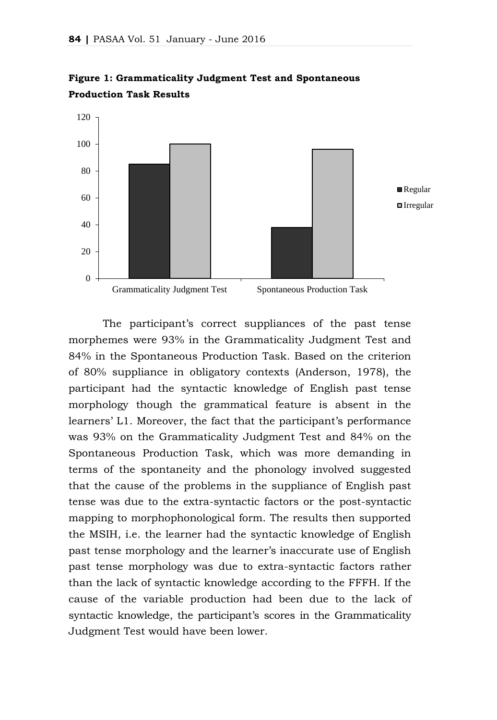



The participant's correct suppliances of the past tense morphemes were 93% in the Grammaticality Judgment Test and 84% in the Spontaneous Production Task. Based on the criterion of 80% suppliance in obligatory contexts (Anderson, 1978), the participant had the syntactic knowledge of English past tense morphology though the grammatical feature is absent in the learners' L1. Moreover, the fact that the participant's performance was 93% on the Grammaticality Judgment Test and 84% on the Spontaneous Production Task, which was more demanding in terms of the spontaneity and the phonology involved suggested that the cause of the problems in the suppliance of English past tense was due to the extra-syntactic factors or the post-syntactic mapping to morphophonological form. The results then supported the MSIH, i.e. the learner had the syntactic knowledge of English past tense morphology and the learner's inaccurate use of English past tense morphology was due to extra-syntactic factors rather than the lack of syntactic knowledge according to the FFFH. If the cause of the variable production had been due to the lack of syntactic knowledge, the participant's scores in the Grammaticality Judgment Test would have been lower.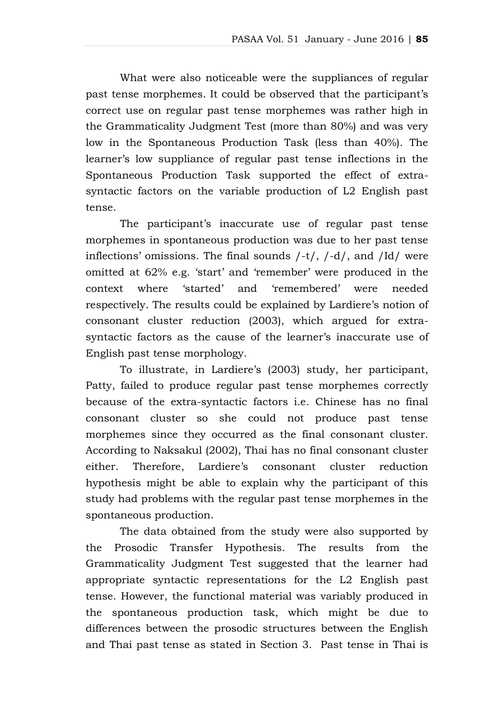What were also noticeable were the suppliances of regular past tense morphemes. It could be observed that the participant's correct use on regular past tense morphemes was rather high in the Grammaticality Judgment Test (more than 80%) and was very low in the Spontaneous Production Task (less than 40%). The learner's low suppliance of regular past tense inflections in the Spontaneous Production Task supported the effect of extrasyntactic factors on the variable production of L2 English past tense.

The participant's inaccurate use of regular past tense morphemes in spontaneous production was due to her past tense inflections' omissions. The final sounds /-t/, /-d/, and /Id/ were omitted at 62% e.g. 'start' and 'remember' were produced in the context where 'started' and 'remembered' were needed respectively. The results could be explained by Lardiere's notion of consonant cluster reduction (2003), which argued for extrasyntactic factors as the cause of the learner's inaccurate use of English past tense morphology.

To illustrate, in Lardiere's (2003) study, her participant, Patty, failed to produce regular past tense morphemes correctly because of the extra-syntactic factors i.e. Chinese has no final consonant cluster so she could not produce past tense morphemes since they occurred as the final consonant cluster. According to Naksakul (2002), Thai has no final consonant cluster either. Therefore, Lardiere's consonant cluster reduction hypothesis might be able to explain why the participant of this study had problems with the regular past tense morphemes in the spontaneous production.

The data obtained from the study were also supported by the Prosodic Transfer Hypothesis. The results from the Grammaticality Judgment Test suggested that the learner had appropriate syntactic representations for the L2 English past tense. However, the functional material was variably produced in the spontaneous production task, which might be due to differences between the prosodic structures between the English and Thai past tense as stated in Section 3. Past tense in Thai is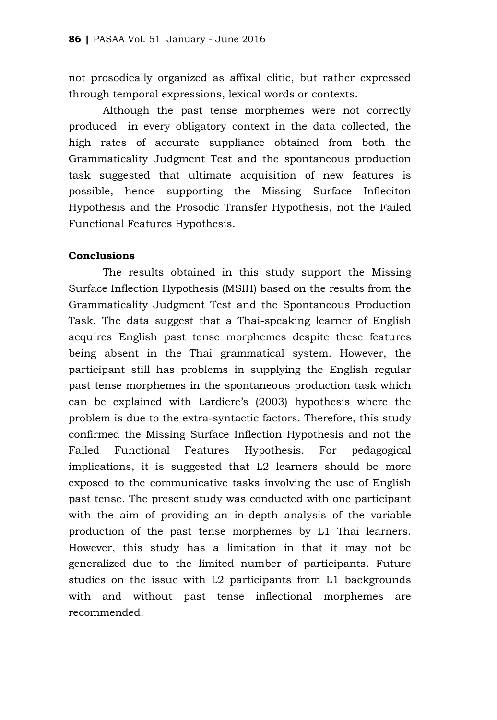not prosodically organized as affixal clitic, but rather expressed through temporal expressions, lexical words or contexts.

Although the past tense morphemes were not correctly produced in every obligatory context in the data collected, the high rates of accurate suppliance obtained from both the Grammaticality Judgment Test and the spontaneous production task suggested that ultimate acquisition of new features is possible, hence supporting the Missing Surface Infleciton Hypothesis and the Prosodic Transfer Hypothesis, not the Failed Functional Features Hypothesis.

## **Conclusions**

The results obtained in this study support the Missing Surface Inflection Hypothesis (MSIH) based on the results from the Grammaticality Judgment Test and the Spontaneous Production Task. The data suggest that a Thai-speaking learner of English acquires English past tense morphemes despite these features being absent in the Thai grammatical system. However, the participant still has problems in supplying the English regular past tense morphemes in the spontaneous production task which can be explained with Lardiere's (2003) hypothesis where the problem is due to the extra-syntactic factors. Therefore, this study confirmed the Missing Surface Inflection Hypothesis and not the Failed Functional Features Hypothesis. For pedagogical implications, it is suggested that L2 learners should be more exposed to the communicative tasks involving the use of English past tense. The present study was conducted with one participant with the aim of providing an in-depth analysis of the variable production of the past tense morphemes by L1 Thai learners. However, this study has a limitation in that it may not be generalized due to the limited number of participants. Future studies on the issue with L2 participants from L1 backgrounds with and without past tense inflectional morphemes are recommended.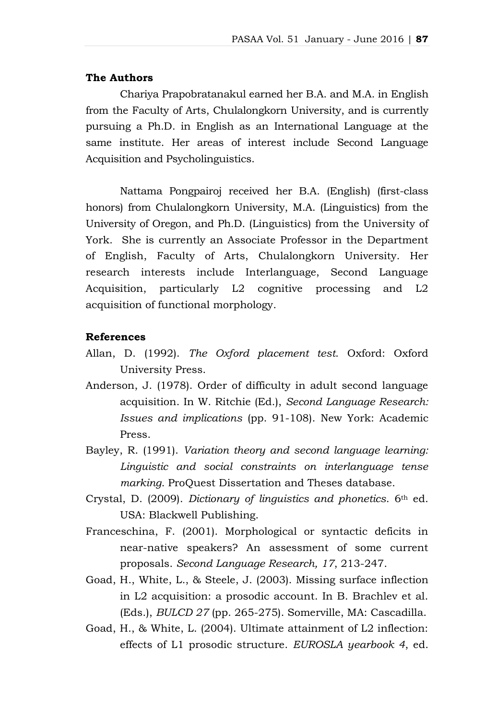#### **The Authors**

Chariya Prapobratanakul earned her B.A. and M.A. in English from the Faculty of Arts, Chulalongkorn University, and is currently pursuing a Ph.D. in English as an International Language at the same institute. Her areas of interest include Second Language Acquisition and Psycholinguistics.

Nattama Pongpairoj received her B.A. (English) (first-class honors) from Chulalongkorn University, M.A. (Linguistics) from the University of Oregon, and Ph.D. (Linguistics) from the University of York. She is currently an Associate Professor in the Department of English, Faculty of Arts, Chulalongkorn University. Her research interests include Interlanguage, Second Language Acquisition, particularly L2 cognitive processing and L2 acquisition of functional morphology.

#### **References**

- Allan, D. (1992). *The Oxford placement test*. Oxford: Oxford University Press.
- Anderson, J. (1978). Order of difficulty in adult second language acquisition. In W. Ritchie (Ed.), *Second Language Research: Issues and implications* (pp. 91-108). New York: Academic Press.
- Bayley, R. (1991). *Variation theory and second language learning: Linguistic and social constraints on interlanguage tense marking*. ProQuest Dissertation and Theses database.
- Crystal, D. (2009). *Dictionary of linguistics and phonetics*. 6th ed. USA: Blackwell Publishing.
- Franceschina, F. (2001). Morphological or syntactic deficits in near-native speakers? An assessment of some current proposals. *Second Language Research, 17*, 213-247.
- Goad, H., White, L., & Steele, J. (2003). Missing surface inflection in L2 acquisition: a prosodic account. In B. Brachlev et al. (Eds.), *BULCD 27* (pp. 265-275). Somerville, MA: Cascadilla.
- Goad, H., & White, L. (2004). Ultimate attainment of L2 inflection: effects of L1 prosodic structure. *EUROSLA yearbook 4*, ed.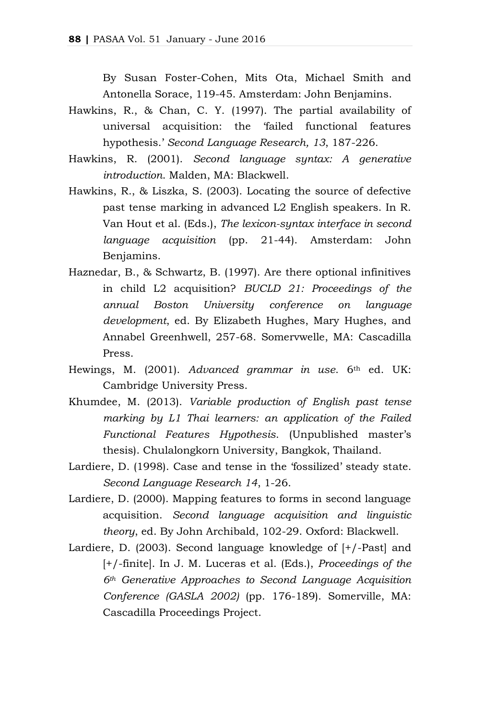By Susan Foster-Cohen, Mits Ota, Michael Smith and Antonella Sorace, 119-45. Amsterdam: John Benjamins.

- Hawkins, R., & Chan, C. Y. (1997). The partial availability of universal acquisition: the 'failed functional features hypothesis.' *Second Language Research, 13*, 187-226.
- Hawkins, R. (2001). *Second language syntax: A generative introduction*. Malden, MA: Blackwell.
- Hawkins, R., & Liszka, S. (2003). Locating the source of defective past tense marking in advanced L2 English speakers. In R. Van Hout et al. (Eds.), *The lexicon-syntax interface in second language acquisition* (pp. 21-44). Amsterdam: John Benjamins.
- Haznedar, B., & Schwartz, B. (1997). Are there optional infinitives in child L2 acquisition? *BUCLD 21: Proceedings of the annual Boston University conference on language development*, ed. By Elizabeth Hughes, Mary Hughes, and Annabel Greenhwell, 257-68. Somervwelle, MA: Cascadilla Press.
- Hewings, M. (2001). *Advanced grammar in use*. 6th ed. UK: Cambridge University Press.
- Khumdee, M. (2013). *Variable production of English past tense marking by L1 Thai learners: an application of the Failed Functional Features Hypothesis*. (Unpublished master's thesis). Chulalongkorn University, Bangkok, Thailand.
- Lardiere, D. (1998). Case and tense in the 'fossilized' steady state. *Second Language Research 14*, 1-26.
- Lardiere, D. (2000). Mapping features to forms in second language acquisition. *Second language acquisition and linguistic theory*, ed. By John Archibald, 102-29. Oxford: Blackwell.
- Lardiere, D. (2003). Second language knowledge of [+/-Past] and [+/-finite]. In J. M. Luceras et al. (Eds.), *Proceedings of the 6th Generative Approaches to Second Language Acquisition Conference (GASLA 2002)* (pp. 176-189). Somerville, MA: Cascadilla Proceedings Project.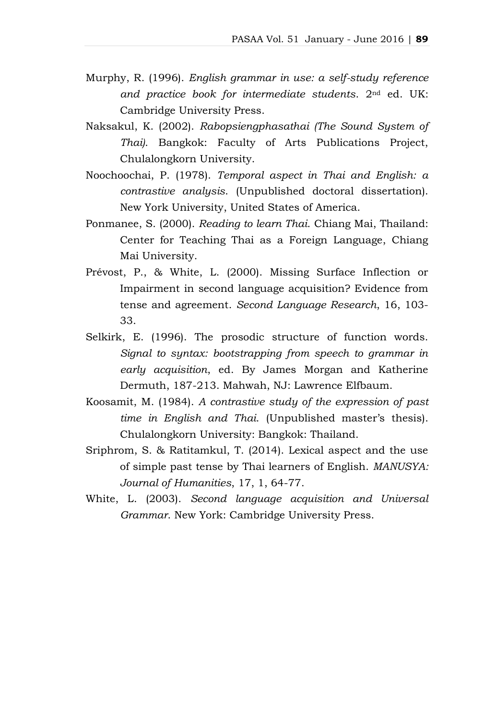- Murphy, R. (1996). *English grammar in use: a self-study reference and practice book for intermediate students*. 2nd ed. UK: Cambridge University Press.
- Naksakul, K. (2002). *Rabopsiengphasathai (The Sound System of Thai)*. Bangkok: Faculty of Arts Publications Project, Chulalongkorn University.
- Noochoochai, P. (1978). *Temporal aspect in Thai and English: a contrastive analysis*. (Unpublished doctoral dissertation). New York University, United States of America.
- Ponmanee, S. (2000). *Reading to learn Thai*. Chiang Mai, Thailand: Center for Teaching Thai as a Foreign Language, Chiang Mai University.
- Prévost, P., & White, L. (2000). Missing Surface Inflection or Impairment in second language acquisition? Evidence from tense and agreement. *Second Language Research*, 16, 103- 33.
- Selkirk, E. (1996). The prosodic structure of function words. *Signal to syntax: bootstrapping from speech to grammar in early acquisition*, ed. By James Morgan and Katherine Dermuth, 187-213. Mahwah, NJ: Lawrence Elfbaum.
- Koosamit, M. (1984). *A contrastive study of the expression of past time in English and Thai*. (Unpublished master's thesis). Chulalongkorn University: Bangkok: Thailand.
- Sriphrom, S. & Ratitamkul, T. (2014). Lexical aspect and the use of simple past tense by Thai learners of English. *MANUSYA: Journal of Humanities*, 17, 1, 64-77.
- White, L. (2003). *Second language acquisition and Universal Grammar*. New York: Cambridge University Press.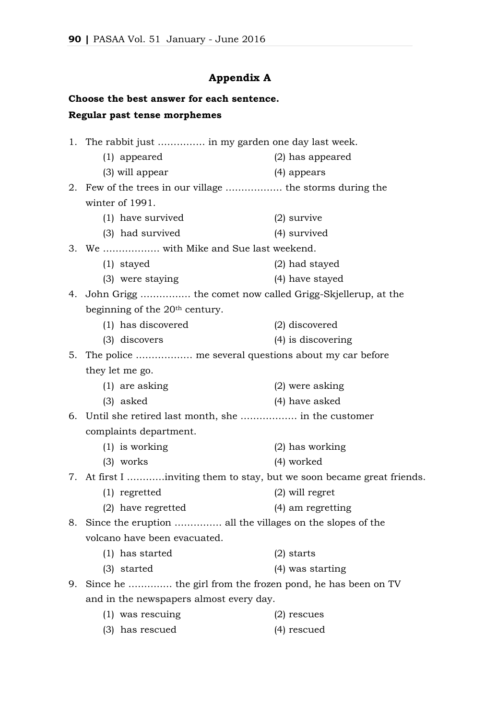# **Appendix A**

# **Choose the best answer for each sentence. Regular past tense morphemes**

|    | 1. The rabbit just  in my garden one day last week.          |                                                                        |
|----|--------------------------------------------------------------|------------------------------------------------------------------------|
|    | $(1)$ appeared                                               | (2) has appeared                                                       |
|    | (3) will appear                                              | (4) appears                                                            |
|    | 2. Few of the trees in our village  the storms during the    |                                                                        |
|    | winter of 1991.                                              |                                                                        |
|    | (1) have survived                                            | $(2)$ survive                                                          |
|    | (3) had survived                                             | (4) survived                                                           |
|    | 3. We  with Mike and Sue last weekend.                       |                                                                        |
|    | $(1)$ stayed                                                 | (2) had stayed                                                         |
|    | (3) were staying                                             | (4) have stayed                                                        |
|    | 4. John Grigg  the comet now called Grigg-Skjellerup, at the |                                                                        |
|    | beginning of the 20 <sup>th</sup> century.                   |                                                                        |
|    | (1) has discovered                                           | (2) discovered                                                         |
|    | (3) discovers                                                | $(4)$ is discovering                                                   |
|    | 5. The police  me several questions about my car before      |                                                                        |
|    | they let me go.                                              |                                                                        |
|    | $(1)$ are asking                                             | (2) were asking                                                        |
|    | $(3)$ asked                                                  | (4) have asked                                                         |
|    |                                                              |                                                                        |
|    | complaints department.                                       |                                                                        |
|    | $(1)$ is working                                             | (2) has working                                                        |
|    | $(3)$ works                                                  | (4) worked                                                             |
|    |                                                              | 7. At first I inviting them to stay, but we soon became great friends. |
|    | $(1)$ regretted                                              | $(2)$ will regret                                                      |
|    | (2) have regretted                                           | (4) am regretting                                                      |
| 8. | Since the eruption  all the villages on the slopes of the    |                                                                        |
|    | volcano have been evacuated.                                 |                                                                        |
|    | (1) has started                                              | $(2)$ starts                                                           |
|    | (3) started                                                  | (4) was starting                                                       |
| 9. | Since he  the girl from the frozen pond, he has been on TV   |                                                                        |
|    | and in the newspapers almost every day.                      |                                                                        |
|    | (1) was rescuing                                             | $(2)$ rescues                                                          |
|    |                                                              |                                                                        |

(3) has rescued (4) rescued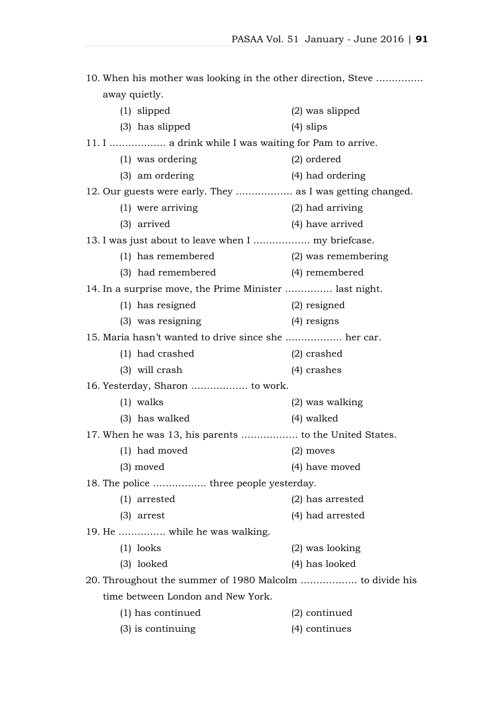| 10. When his mother was looking in the other direction, Steve |                     |  |  |  |  |
|---------------------------------------------------------------|---------------------|--|--|--|--|
| away quietly.                                                 |                     |  |  |  |  |
| $(1)$ slipped                                                 | $(2)$ was slipped   |  |  |  |  |
| (3) has slipped                                               | $(4)$ slips         |  |  |  |  |
| 11. I  a drink while I was waiting for Pam to arrive.         |                     |  |  |  |  |
| (1) was ordering                                              | (2) ordered         |  |  |  |  |
| (3) am ordering                                               | (4) had ordering    |  |  |  |  |
| 12. Our guests were early. They  as I was getting changed.    |                     |  |  |  |  |
| (1) were arriving                                             | (2) had arriving    |  |  |  |  |
| $(3)$ arrived                                                 | (4) have arrived    |  |  |  |  |
|                                                               |                     |  |  |  |  |
| (1) has remembered                                            | (2) was remembering |  |  |  |  |
| (3) had remembered                                            | (4) remembered      |  |  |  |  |
| 14. In a surprise move, the Prime Minister  last night.       |                     |  |  |  |  |
| (1) has resigned                                              | $(2)$ resigned      |  |  |  |  |
| (3) was resigning                                             | $(4)$ resigns       |  |  |  |  |
| 15. Maria hasn't wanted to drive since she  her car.          |                     |  |  |  |  |
| (1) had crashed                                               | $(2)$ crashed       |  |  |  |  |
| $(3)$ will crash                                              | $(4)$ crashes       |  |  |  |  |
| 16. Yesterday, Sharon  to work.                               |                     |  |  |  |  |
| $(1)$ walks                                                   | (2) was walking     |  |  |  |  |
| (3) has walked                                                | $(4)$ walked        |  |  |  |  |
| 17. When he was 13, his parents  to the United States.        |                     |  |  |  |  |
| (1) had moved                                                 | $(2)$ moves         |  |  |  |  |
| $(3)$ moved                                                   | (4) have moved      |  |  |  |  |
| 18. The police  three people yesterday.                       |                     |  |  |  |  |
| $(1)$ arrested                                                | (2) has arrested    |  |  |  |  |
| $(3)$ arrest                                                  | (4) had arrested    |  |  |  |  |
| 19. He  while he was walking.                                 |                     |  |  |  |  |
| $(1)$ looks                                                   | (2) was looking     |  |  |  |  |
| (3) looked                                                    | (4) has looked      |  |  |  |  |
| 20. Throughout the summer of 1980 Malcolm  to divide his      |                     |  |  |  |  |
| time between London and New York.                             |                     |  |  |  |  |
| (1) has continued                                             | (2) continued       |  |  |  |  |
| $(3)$ is continuing                                           | (4) continues       |  |  |  |  |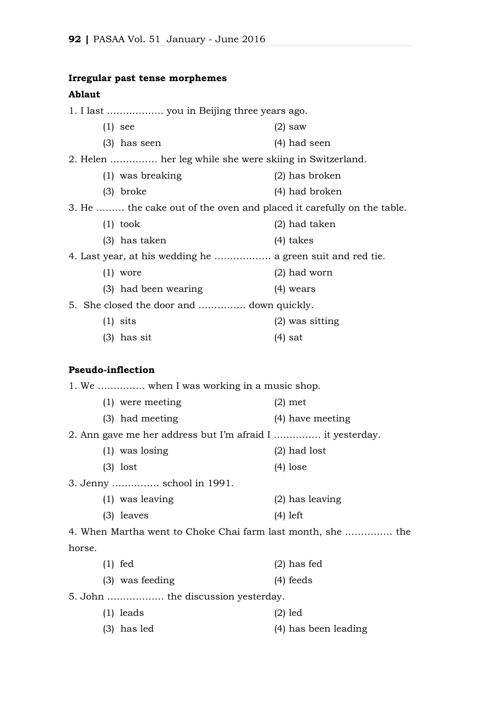# **Irregular past tense morphemes**

## **Ablaut**

|        | 1. I last  you in Beijing three years ago.                            |                      |
|--------|-----------------------------------------------------------------------|----------------------|
|        | $(1)$ see                                                             | $(2)$ saw            |
|        | $(3)$ has seen                                                        | $(4)$ had seen       |
|        | 2. Helen  her leg while she were skiing in Switzerland.               |                      |
|        | (1) was breaking                                                      | $(2)$ has broken     |
|        | $(3)$ broke                                                           | (4) had broken       |
|        | 3. He  the cake out of the oven and placed it carefully on the table. |                      |
|        | $(1)$ took                                                            | $(2)$ had taken      |
|        | $(3)$ has taken                                                       | $(4)$ takes          |
|        | 4. Last year, at his wedding he  a green suit and red tie.            |                      |
|        | $(1)$ wore                                                            | $(2)$ had worn       |
|        | (3) had been wearing                                                  | $(4)$ wears          |
|        | 5. She closed the door and  down quickly.                             |                      |
|        | $(1)$ sits                                                            | $(2)$ was sitting    |
|        | $(3)$ has sit                                                         | $(4)$ sat            |
|        |                                                                       |                      |
|        | <b>Pseudo-inflection</b>                                              |                      |
|        | 1. We  when I was working in a music shop.                            |                      |
|        | (1) were meeting                                                      | $(2)$ met            |
|        | (3) had meeting                                                       | (4) have meeting     |
|        | 2. Ann gave me her address but I'm afraid I  it yesterday.            |                      |
|        | $(1)$ was losing                                                      | $(2)$ had lost       |
|        | $(3)$ lost                                                            | $(4)$ lose           |
|        | 3. Jenny  school in 1991.                                             |                      |
|        | (1) was leaving                                                       | $(2)$ has leaving    |
|        | $(3)$ leaves                                                          | $(4)$ left           |
|        | 4. When Martha went to Choke Chai farm last month, she  the           |                      |
| horse. |                                                                       |                      |
|        | $(1)$ fed                                                             | $(2)$ has fed        |
|        | (3) was feeding                                                       | $(4)$ feeds          |
|        | 5. John  the discussion yesterday.                                    |                      |
|        | $(1)$ leads                                                           | $(2)$ led            |
|        | $(3)$ has led                                                         | (4) has been leading |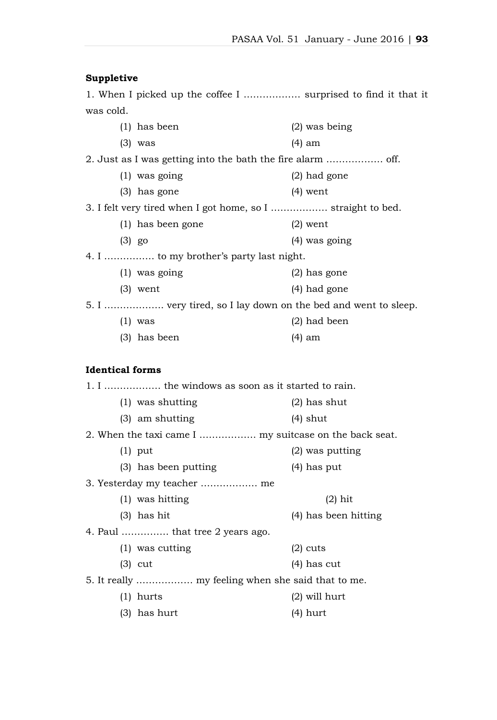#### **Suppletive**

1. When I picked up the coffee I ……………… surprised to find it that it was cold. (1) has been (2) was being

| (1) nas been                                                  | $(4)$ was being |
|---------------------------------------------------------------|-----------------|
| $(3)$ was                                                     | (4) am          |
| 2. Just as I was getting into the bath the fire alarm  off.   |                 |
| $(1)$ was going                                               | $(2)$ had gone  |
| $(3)$ has gone                                                | $(4)$ went      |
| 3. I felt very tired when I got home, so I  straight to bed.  |                 |
| (1) has been gone                                             | $(2)$ went      |
| $(3)$ go                                                      | $(4)$ was going |
| 4. I  to my brother's party last night.                       |                 |
| $(1)$ was going                                               | $(2)$ has gone  |
| $(3)$ went                                                    | (4) had gone    |
| 5. I  very tired, so I lay down on the bed and went to sleep. |                 |
| $(1)$ was                                                     | $(2)$ had been  |
| $(3)$ has been                                                | (4) am          |

#### **Identical forms**

1. I ……………… the windows as soon as it started to rain. (1) was shutting (2) has shut (3) am shutting (4) shut 2. When the taxi came I ……………… my suitcase on the back seat. (1) put (2) was putting (3) has been putting (4) has put 3. Yesterday my teacher ……………… me (1) was hitting (2) hit (3) has hit (4) has been hitting 4. Paul …………… that tree 2 years ago. (1) was cutting (2) cuts (3) cut (4) has cut 5. It really ……………… my feeling when she said that to me. (1) hurts (2) will hurt (3) has hurt (4) hurt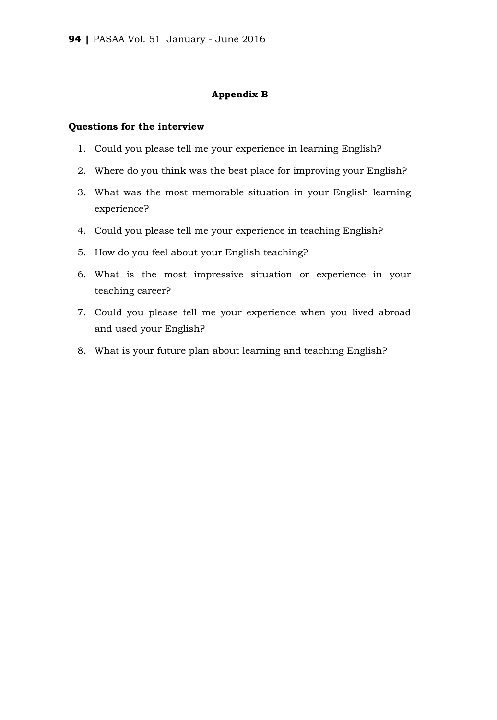#### **Appendix B**

#### **Questions for the interview**

- 1. Could you please tell me your experience in learning English?
- 2. Where do you think was the best place for improving your English?
- 3. What was the most memorable situation in your English learning experience?
- 4. Could you please tell me your experience in teaching English?
- 5. How do you feel about your English teaching?
- 6. What is the most impressive situation or experience in your teaching career?
- 7. Could you please tell me your experience when you lived abroad and used your English?
- 8. What is your future plan about learning and teaching English?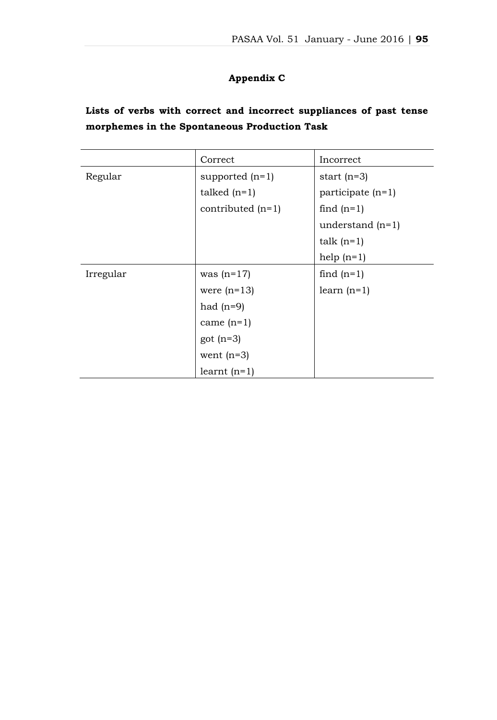# **Appendix C**

|  |  |  |                                              | Lists of verbs with correct and incorrect suppliances of past tense |  |  |
|--|--|--|----------------------------------------------|---------------------------------------------------------------------|--|--|
|  |  |  | morphemes in the Spontaneous Production Task |                                                                     |  |  |

|           | Correct             | Incorrect           |  |
|-----------|---------------------|---------------------|--|
| Regular   | supported $(n=1)$   | start $(n=3)$       |  |
|           | talked $(n=1)$      | participate $(n=1)$ |  |
|           | contributed $(n=1)$ | find $(n=1)$        |  |
|           |                     | understand $(n=1)$  |  |
|           |                     | talk $(n=1)$        |  |
|           |                     | help $(n=1)$        |  |
| Irregular | was $(n=17)$        | find $(n=1)$        |  |
|           | were $(n=13)$       | learn $(n=1)$       |  |
|           | had $(n=9)$         |                     |  |
|           | came $(n=1)$        |                     |  |
|           | got $(n=3)$         |                     |  |
|           | went $(n=3)$        |                     |  |
|           | learnt $(n=1)$      |                     |  |